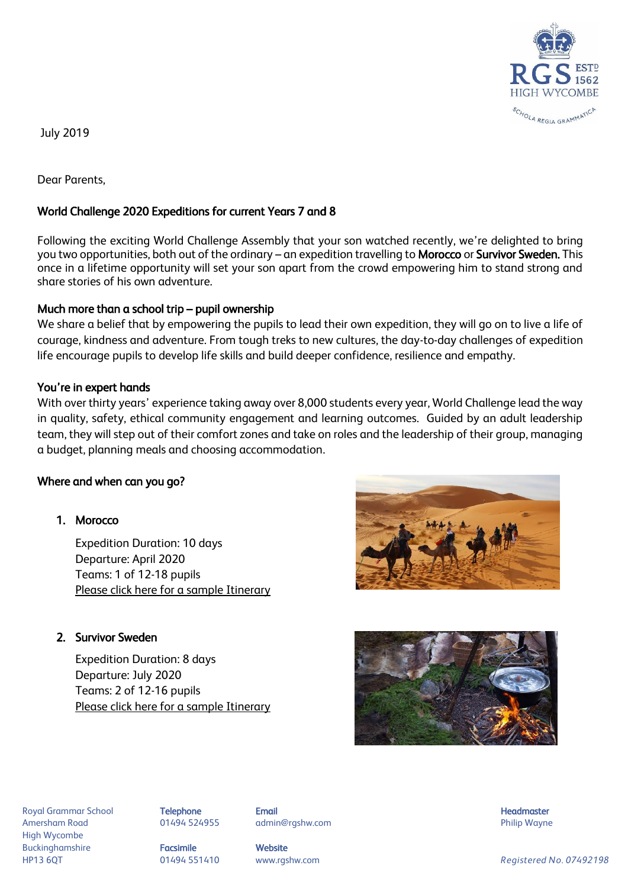

July 2019

Dear Parents,

## World Challenge 2020 Expeditions for current Years 7 and 8

Following the exciting World Challenge Assembly that your son watched recently, we're delighted to bring you two opportunities, both out of the ordinary – an expedition travelling to Morocco or Survivor Sweden. This once in a lifetime opportunity will set your son apart from the crowd empowering him to stand strong and share stories of his own adventure.

#### Much more than a school trip – pupil ownership

We share a belief that by empowering the pupils to lead their own expedition, they will go on to live a life of courage, kindness and adventure. From tough treks to new cultures, the day-to-day challenges of expedition life encourage pupils to develop life skills and build deeper confidence, resilience and empathy.

### You're in expert hands

With over thirty years' experience taking away over 8,000 students every year, World Challenge lead the way in quality, safety, ethical community engagement and learning outcomes. Guided by an adult leadership team, they will step out of their comfort zones and take on roles and the leadership of their group, managing a budget, planning meals and choosing accommodation.

#### Where and when can you go?

# 1. Morocco

Expedition Duration: 10 days Departure: April 2020 Teams: 1 of 12-18 pupils [Please click here for a sample Itinerary](https://www.myworldchallenge.com/sampleitinerary.asp?id=11352&ch=881c70fdaa59202927e7e57ba4f53f3d302af197)

## 2. Survivor Sweden

Expedition Duration: 8 days Departure: July 2020 Teams: 2 of 12-16 pupils [Please click here for a sample Itinerary](https://www.myworldchallenge.com/sampleitinerary.asp?id=12925&ch=cedf67d2ad6b9d6aac06ca1a015d002052f3e958)





Royal Grammar School **Telephone Email Headmaster Email Headmaster Headmaster Headmaster** Amersham Road **8. Community 1948 124955** admin@rgshw.com **Community Community Philip Wayne** High Wycombe Buckinghamshire **Facsimile Facsimile** Website

HP13 6QT 01494 551410 www.rgshw.com *Registered No. 07492198*